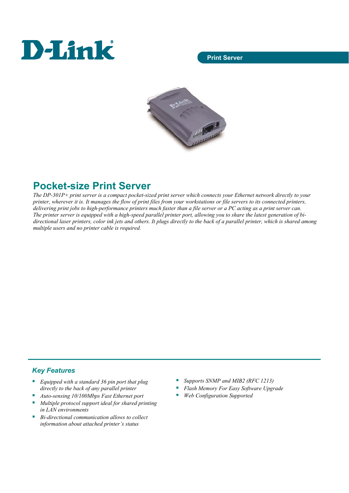# **D-Link**

## **Print Server**



# **Pocket-size Print Server**

*The DP-301P+ print server is a compact pocket-sized print server which connects your Ethernet network directly to your printer, wherever it is. It manages the flow of print files from your workstations or file servers to its connected printers, delivering print jobs to high-performance printers much faster than a file server or a PC acting as a print server can. The printer server is equipped with a high-speed parallel printer port, allowing you to share the latest generation of bidirectional laser printers, color ink jets and others. It plugs directly to the back of a parallel printer, which is shared among multiple users and no printer cable is required.* 

# *Key Features*

- *Equipped with a standard 36 pin port that plug directly to the back of any parallel printer*
- *Auto-sensing 10/100Mbps Fast Ethernet port*
- *Multiple protocol support ideal for shared printing in LAN environments*
- *Bi-directional communication allows to collect information about attached printer's status*
- *Supports SNMP and MIB2 (RFC 1213)*
- *Flash Memory For Easy Software Upgrade*
- *Web Configuration Supported*